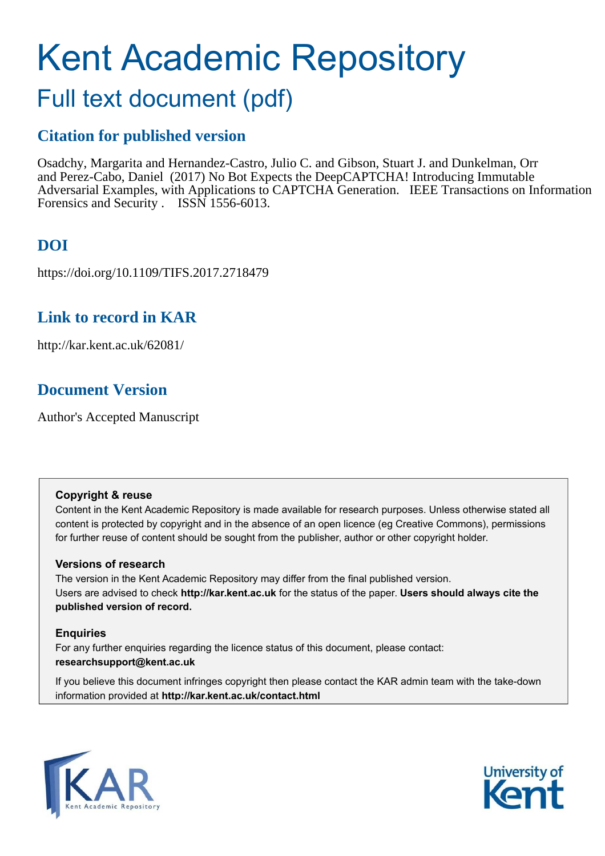# Kent Academic Repository

# Full text document (pdf)

# **Citation for published version**

Osadchy, Margarita and Hernandez-Castro, Julio C. and Gibson, Stuart J. and Dunkelman, Orr and Perez-Cabo, Daniel (2017) No Bot Expects the DeepCAPTCHA! Introducing Immutable Adversarial Examples, with Applications to CAPTCHA Generation. IEEE Transactions on Information Forensics and Security . ISSN 1556-6013.

# **DOI**

https://doi.org/10.1109/TIFS.2017.2718479

# **Link to record in KAR**

http://kar.kent.ac.uk/62081/

# **Document Version**

Author's Accepted Manuscript

# **Copyright & reuse**

Content in the Kent Academic Repository is made available for research purposes. Unless otherwise stated all content is protected by copyright and in the absence of an open licence (eg Creative Commons), permissions for further reuse of content should be sought from the publisher, author or other copyright holder.

# **Versions of research**

The version in the Kent Academic Repository may differ from the final published version. Users are advised to check **http://kar.kent.ac.uk** for the status of the paper. **Users should always cite the published version of record.**

# **Enquiries**

For any further enquiries regarding the licence status of this document, please contact: **researchsupport@kent.ac.uk**

If you believe this document infringes copyright then please contact the KAR admin team with the take-down information provided at **http://kar.kent.ac.uk/contact.html**



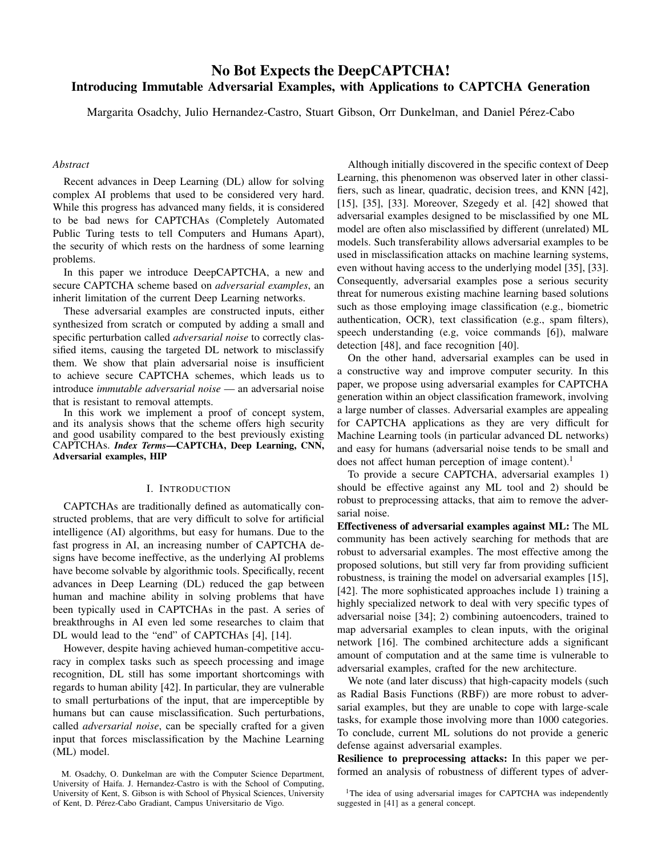# No Bot Expects the DeepCAPTCHA! Introducing Immutable Adversarial Examples, with Applications to CAPTCHA Generation

Margarita Osadchy, Julio Hernandez-Castro, Stuart Gibson, Orr Dunkelman, and Daniel Perez-Cabo ´

#### *Abstract*

Recent advances in Deep Learning (DL) allow for solving complex AI problems that used to be considered very hard. While this progress has advanced many fields, it is considered to be bad news for CAPTCHAs (Completely Automated Public Turing tests to tell Computers and Humans Apart), the security of which rests on the hardness of some learning problems.

In this paper we introduce DeepCAPTCHA, a new and secure CAPTCHA scheme based on *adversarial examples*, an inherit limitation of the current Deep Learning networks.

These adversarial examples are constructed inputs, either synthesized from scratch or computed by adding a small and specific perturbation called *adversarial noise* to correctly classified items, causing the targeted DL network to misclassify them. We show that plain adversarial noise is insufficient to achieve secure CAPTCHA schemes, which leads us to introduce *immutable adversarial noise* — an adversarial noise that is resistant to removal attempts.

In this work we implement a proof of concept system, and its analysis shows that the scheme offers high security and good usability compared to the best previously existing CAPTCHAs. *Index Terms*—CAPTCHA, Deep Learning, CNN, Adversarial examples, HIP

#### I. INTRODUCTION

CAPTCHAs are traditionally defined as automatically constructed problems, that are very difficult to solve for artificial intelligence (AI) algorithms, but easy for humans. Due to the fast progress in AI, an increasing number of CAPTCHA designs have become ineffective, as the underlying AI problems have become solvable by algorithmic tools. Specifically, recent advances in Deep Learning (DL) reduced the gap between human and machine ability in solving problems that have been typically used in CAPTCHAs in the past. A series of breakthroughs in AI even led some researches to claim that DL would lead to the "end" of CAPTCHAs [4], [14].

However, despite having achieved human-competitive accuracy in complex tasks such as speech processing and image recognition, DL still has some important shortcomings with regards to human ability [42]. In particular, they are vulnerable to small perturbations of the input, that are imperceptible by humans but can cause misclassification. Such perturbations, called *adversarial noise*, can be specially crafted for a given input that forces misclassification by the Machine Learning (ML) model.

M. Osadchy, O. Dunkelman are with the Computer Science Department, University of Haifa. J. Hernandez-Castro is with the School of Computing, University of Kent, S. Gibson is with School of Physical Sciences, University of Kent, D. Pérez-Cabo Gradiant, Campus Universitario de Vigo.

Although initially discovered in the specific context of Deep Learning, this phenomenon was observed later in other classifiers, such as linear, quadratic, decision trees, and KNN [42], [15], [35], [33]. Moreover, Szegedy et al. [42] showed that adversarial examples designed to be misclassified by one ML model are often also misclassified by different (unrelated) ML models. Such transferability allows adversarial examples to be used in misclassification attacks on machine learning systems, even without having access to the underlying model [35], [33]. Consequently, adversarial examples pose a serious security threat for numerous existing machine learning based solutions such as those employing image classification (e.g., biometric authentication, OCR), text classification (e.g., spam filters), speech understanding (e.g, voice commands [6]), malware detection [48], and face recognition [40].

On the other hand, adversarial examples can be used in a constructive way and improve computer security. In this paper, we propose using adversarial examples for CAPTCHA generation within an object classification framework, involving a large number of classes. Adversarial examples are appealing for CAPTCHA applications as they are very difficult for Machine Learning tools (in particular advanced DL networks) and easy for humans (adversarial noise tends to be small and does not affect human perception of image content).<sup>1</sup>

To provide a secure CAPTCHA, adversarial examples 1) should be effective against any ML tool and 2) should be robust to preprocessing attacks, that aim to remove the adversarial noise.

Effectiveness of adversarial examples against ML: The ML community has been actively searching for methods that are robust to adversarial examples. The most effective among the proposed solutions, but still very far from providing sufficient robustness, is training the model on adversarial examples [15], [42]. The more sophisticated approaches include 1) training a highly specialized network to deal with very specific types of adversarial noise [34]; 2) combining autoencoders, trained to map adversarial examples to clean inputs, with the original network [16]. The combined architecture adds a significant amount of computation and at the same time is vulnerable to adversarial examples, crafted for the new architecture.

We note (and later discuss) that high-capacity models (such as Radial Basis Functions (RBF)) are more robust to adversarial examples, but they are unable to cope with large-scale tasks, for example those involving more than 1000 categories. To conclude, current ML solutions do not provide a generic defense against adversarial examples.

Resilience to preprocessing attacks: In this paper we performed an analysis of robustness of different types of adver-

<sup>&</sup>lt;sup>1</sup>The idea of using adversarial images for CAPTCHA was independently suggested in [41] as a general concept.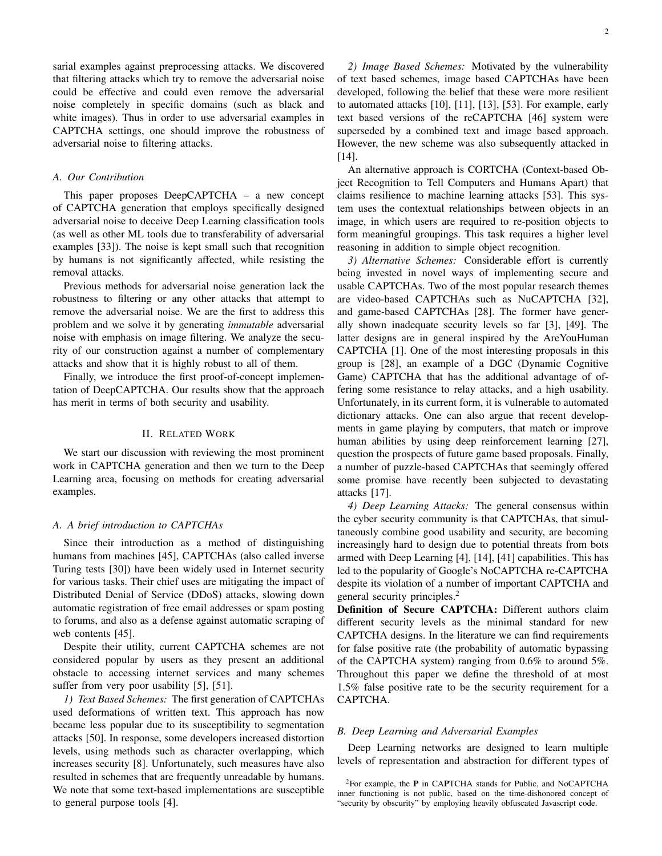sarial examples against preprocessing attacks. We discovered that filtering attacks which try to remove the adversarial noise could be effective and could even remove the adversarial noise completely in specific domains (such as black and white images). Thus in order to use adversarial examples in CAPTCHA settings, one should improve the robustness of adversarial noise to filtering attacks.

#### *A. Our Contribution*

This paper proposes DeepCAPTCHA – a new concept of CAPTCHA generation that employs specifically designed adversarial noise to deceive Deep Learning classification tools (as well as other ML tools due to transferability of adversarial examples [33]). The noise is kept small such that recognition by humans is not significantly affected, while resisting the removal attacks.

Previous methods for adversarial noise generation lack the robustness to filtering or any other attacks that attempt to remove the adversarial noise. We are the first to address this problem and we solve it by generating *immutable* adversarial noise with emphasis on image filtering. We analyze the security of our construction against a number of complementary attacks and show that it is highly robust to all of them.

Finally, we introduce the first proof-of-concept implementation of DeepCAPTCHA. Our results show that the approach has merit in terms of both security and usability.

#### II. RELATED WORK

We start our discussion with reviewing the most prominent work in CAPTCHA generation and then we turn to the Deep Learning area, focusing on methods for creating adversarial examples.

#### *A. A brief introduction to CAPTCHAs*

Since their introduction as a method of distinguishing humans from machines [45], CAPTCHAs (also called inverse Turing tests [30]) have been widely used in Internet security for various tasks. Their chief uses are mitigating the impact of Distributed Denial of Service (DDoS) attacks, slowing down automatic registration of free email addresses or spam posting to forums, and also as a defense against automatic scraping of web contents [45].

Despite their utility, current CAPTCHA schemes are not considered popular by users as they present an additional obstacle to accessing internet services and many schemes suffer from very poor usability [5], [51].

*1) Text Based Schemes:* The first generation of CAPTCHAs used deformations of written text. This approach has now became less popular due to its susceptibility to segmentation attacks [50]. In response, some developers increased distortion levels, using methods such as character overlapping, which increases security [8]. Unfortunately, such measures have also resulted in schemes that are frequently unreadable by humans. We note that some text-based implementations are susceptible to general purpose tools [4].

*2) Image Based Schemes:* Motivated by the vulnerability of text based schemes, image based CAPTCHAs have been developed, following the belief that these were more resilient to automated attacks [10], [11], [13], [53]. For example, early text based versions of the reCAPTCHA [46] system were superseded by a combined text and image based approach. However, the new scheme was also subsequently attacked in [14].

An alternative approach is CORTCHA (Context-based Object Recognition to Tell Computers and Humans Apart) that claims resilience to machine learning attacks [53]. This system uses the contextual relationships between objects in an image, in which users are required to re-position objects to form meaningful groupings. This task requires a higher level reasoning in addition to simple object recognition.

*3) Alternative Schemes:* Considerable effort is currently being invested in novel ways of implementing secure and usable CAPTCHAs. Two of the most popular research themes are video-based CAPTCHAs such as NuCAPTCHA [32], and game-based CAPTCHAs [28]. The former have generally shown inadequate security levels so far [3], [49]. The latter designs are in general inspired by the AreYouHuman CAPTCHA [1]. One of the most interesting proposals in this group is [28], an example of a DGC (Dynamic Cognitive Game) CAPTCHA that has the additional advantage of offering some resistance to relay attacks, and a high usability. Unfortunately, in its current form, it is vulnerable to automated dictionary attacks. One can also argue that recent developments in game playing by computers, that match or improve human abilities by using deep reinforcement learning [27], question the prospects of future game based proposals. Finally, a number of puzzle-based CAPTCHAs that seemingly offered some promise have recently been subjected to devastating attacks [17].

*4) Deep Learning Attacks:* The general consensus within the cyber security community is that CAPTCHAs, that simultaneously combine good usability and security, are becoming increasingly hard to design due to potential threats from bots armed with Deep Learning [4], [14], [41] capabilities. This has led to the popularity of Google's NoCAPTCHA re-CAPTCHA despite its violation of a number of important CAPTCHA and general security principles.<sup>2</sup>

Definition of Secure CAPTCHA: Different authors claim different security levels as the minimal standard for new CAPTCHA designs. In the literature we can find requirements for false positive rate (the probability of automatic bypassing of the CAPTCHA system) ranging from 0.6% to around 5%. Throughout this paper we define the threshold of at most 1.5% false positive rate to be the security requirement for a CAPTCHA.

#### *B. Deep Learning and Adversarial Examples*

Deep Learning networks are designed to learn multiple levels of representation and abstraction for different types of

<sup>2</sup>For example, the P in CAPTCHA stands for Public, and NoCAPTCHA inner functioning is not public, based on the time-dishonored concept of "security by obscurity" by employing heavily obfuscated Javascript code.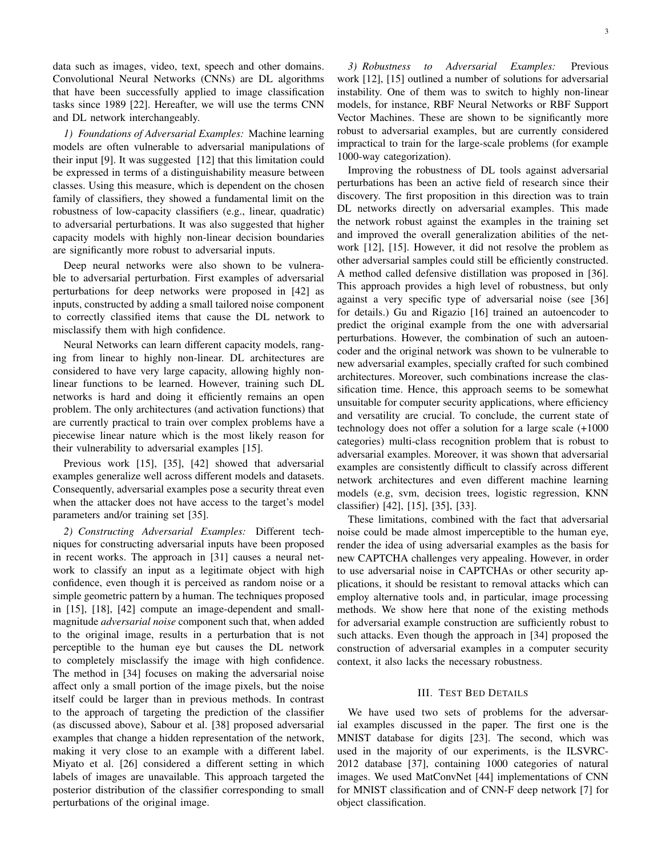data such as images, video, text, speech and other domains. Convolutional Neural Networks (CNNs) are DL algorithms that have been successfully applied to image classification tasks since 1989 [22]. Hereafter, we will use the terms CNN and DL network interchangeably.

*1) Foundations of Adversarial Examples:* Machine learning models are often vulnerable to adversarial manipulations of their input [9]. It was suggested [12] that this limitation could be expressed in terms of a distinguishability measure between classes. Using this measure, which is dependent on the chosen family of classifiers, they showed a fundamental limit on the robustness of low-capacity classifiers (e.g., linear, quadratic) to adversarial perturbations. It was also suggested that higher capacity models with highly non-linear decision boundaries are significantly more robust to adversarial inputs.

Deep neural networks were also shown to be vulnerable to adversarial perturbation. First examples of adversarial perturbations for deep networks were proposed in [42] as inputs, constructed by adding a small tailored noise component to correctly classified items that cause the DL network to misclassify them with high confidence.

Neural Networks can learn different capacity models, ranging from linear to highly non-linear. DL architectures are considered to have very large capacity, allowing highly nonlinear functions to be learned. However, training such DL networks is hard and doing it efficiently remains an open problem. The only architectures (and activation functions) that are currently practical to train over complex problems have a piecewise linear nature which is the most likely reason for their vulnerability to adversarial examples [15].

Previous work [15], [35], [42] showed that adversarial examples generalize well across different models and datasets. Consequently, adversarial examples pose a security threat even when the attacker does not have access to the target's model parameters and/or training set [35].

*2) Constructing Adversarial Examples:* Different techniques for constructing adversarial inputs have been proposed in recent works. The approach in [31] causes a neural network to classify an input as a legitimate object with high confidence, even though it is perceived as random noise or a simple geometric pattern by a human. The techniques proposed in [15], [18], [42] compute an image-dependent and smallmagnitude *adversarial noise* component such that, when added to the original image, results in a perturbation that is not perceptible to the human eye but causes the DL network to completely misclassify the image with high confidence. The method in [34] focuses on making the adversarial noise affect only a small portion of the image pixels, but the noise itself could be larger than in previous methods. In contrast to the approach of targeting the prediction of the classifier (as discussed above), Sabour et al. [38] proposed adversarial examples that change a hidden representation of the network, making it very close to an example with a different label. Miyato et al. [26] considered a different setting in which labels of images are unavailable. This approach targeted the posterior distribution of the classifier corresponding to small perturbations of the original image.

*3) Robustness to Adversarial Examples:* Previous work [12], [15] outlined a number of solutions for adversarial instability. One of them was to switch to highly non-linear models, for instance, RBF Neural Networks or RBF Support Vector Machines. These are shown to be significantly more robust to adversarial examples, but are currently considered impractical to train for the large-scale problems (for example 1000-way categorization).

Improving the robustness of DL tools against adversarial perturbations has been an active field of research since their discovery. The first proposition in this direction was to train DL networks directly on adversarial examples. This made the network robust against the examples in the training set and improved the overall generalization abilities of the network [12], [15]. However, it did not resolve the problem as other adversarial samples could still be efficiently constructed. A method called defensive distillation was proposed in [36]. This approach provides a high level of robustness, but only against a very specific type of adversarial noise (see [36] for details.) Gu and Rigazio [16] trained an autoencoder to predict the original example from the one with adversarial perturbations. However, the combination of such an autoencoder and the original network was shown to be vulnerable to new adversarial examples, specially crafted for such combined architectures. Moreover, such combinations increase the classification time. Hence, this approach seems to be somewhat unsuitable for computer security applications, where efficiency and versatility are crucial. To conclude, the current state of technology does not offer a solution for a large scale (+1000 categories) multi-class recognition problem that is robust to adversarial examples. Moreover, it was shown that adversarial examples are consistently difficult to classify across different network architectures and even different machine learning models (e.g, svm, decision trees, logistic regression, KNN classifier) [42], [15], [35], [33].

These limitations, combined with the fact that adversarial noise could be made almost imperceptible to the human eye, render the idea of using adversarial examples as the basis for new CAPTCHA challenges very appealing. However, in order to use adversarial noise in CAPTCHAs or other security applications, it should be resistant to removal attacks which can employ alternative tools and, in particular, image processing methods. We show here that none of the existing methods for adversarial example construction are sufficiently robust to such attacks. Even though the approach in [34] proposed the construction of adversarial examples in a computer security context, it also lacks the necessary robustness.

#### III. TEST BED DETAILS

We have used two sets of problems for the adversarial examples discussed in the paper. The first one is the MNIST database for digits [23]. The second, which was used in the majority of our experiments, is the ILSVRC-2012 database [37], containing 1000 categories of natural images. We used MatConvNet [44] implementations of CNN for MNIST classification and of CNN-F deep network [7] for object classification.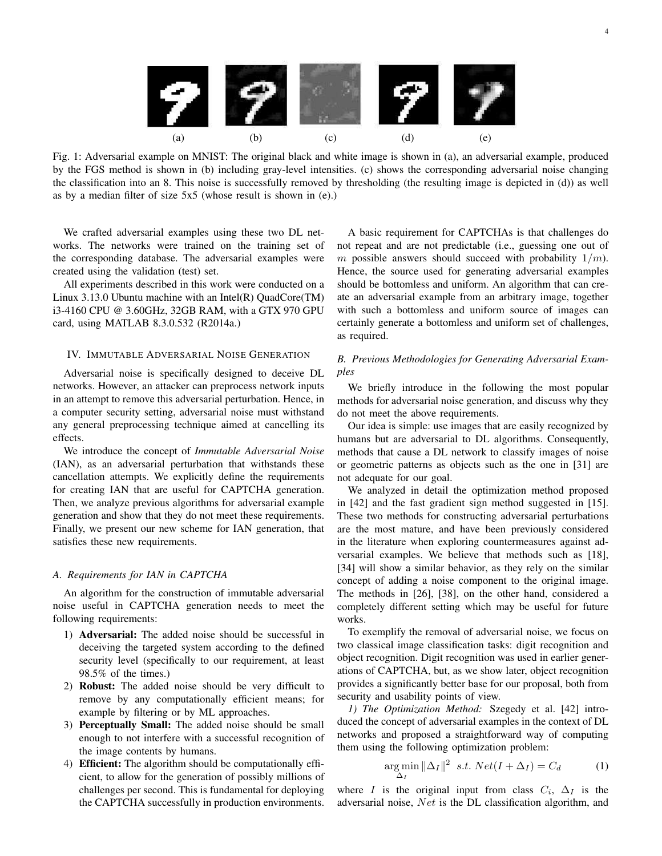

Fig. 1: Adversarial example on MNIST: The original black and white image is shown in (a), an adversarial example, produced by the FGS method is shown in (b) including gray-level intensities. (c) shows the corresponding adversarial noise changing the classification into an 8. This noise is successfully removed by thresholding (the resulting image is depicted in (d)) as well as by a median filter of size 5x5 (whose result is shown in (e).)

We crafted adversarial examples using these two DL networks. The networks were trained on the training set of the corresponding database. The adversarial examples were created using the validation (test) set.

All experiments described in this work were conducted on a Linux 3.13.0 Ubuntu machine with an Intel(R) QuadCore(TM) i3-4160 CPU @ 3.60GHz, 32GB RAM, with a GTX 970 GPU card, using MATLAB 8.3.0.532 (R2014a.)

#### IV. IMMUTABLE ADVERSARIAL NOISE GENERATION

Adversarial noise is specifically designed to deceive DL networks. However, an attacker can preprocess network inputs in an attempt to remove this adversarial perturbation. Hence, in a computer security setting, adversarial noise must withstand any general preprocessing technique aimed at cancelling its effects.

We introduce the concept of *Immutable Adversarial Noise* (IAN), as an adversarial perturbation that withstands these cancellation attempts. We explicitly define the requirements for creating IAN that are useful for CAPTCHA generation. Then, we analyze previous algorithms for adversarial example generation and show that they do not meet these requirements. Finally, we present our new scheme for IAN generation, that satisfies these new requirements.

#### *A. Requirements for IAN in CAPTCHA*

An algorithm for the construction of immutable adversarial noise useful in CAPTCHA generation needs to meet the following requirements:

- 1) Adversarial: The added noise should be successful in deceiving the targeted system according to the defined security level (specifically to our requirement, at least 98.5% of the times.)
- 2) Robust: The added noise should be very difficult to remove by any computationally efficient means; for example by filtering or by ML approaches.
- 3) Perceptually Small: The added noise should be small enough to not interfere with a successful recognition of the image contents by humans.
- 4) Efficient: The algorithm should be computationally efficient, to allow for the generation of possibly millions of challenges per second. This is fundamental for deploying the CAPTCHA successfully in production environments.

A basic requirement for CAPTCHAs is that challenges do not repeat and are not predictable (i.e., guessing one out of m possible answers should succeed with probability  $1/m$ ). Hence, the source used for generating adversarial examples should be bottomless and uniform. An algorithm that can create an adversarial example from an arbitrary image, together with such a bottomless and uniform source of images can certainly generate a bottomless and uniform set of challenges, as required.

#### *B. Previous Methodologies for Generating Adversarial Examples*

We briefly introduce in the following the most popular methods for adversarial noise generation, and discuss why they do not meet the above requirements.

Our idea is simple: use images that are easily recognized by humans but are adversarial to DL algorithms. Consequently, methods that cause a DL network to classify images of noise or geometric patterns as objects such as the one in [31] are not adequate for our goal.

We analyzed in detail the optimization method proposed in [42] and the fast gradient sign method suggested in [15]. These two methods for constructing adversarial perturbations are the most mature, and have been previously considered in the literature when exploring countermeasures against adversarial examples. We believe that methods such as [18], [34] will show a similar behavior, as they rely on the similar concept of adding a noise component to the original image. The methods in [26], [38], on the other hand, considered a completely different setting which may be useful for future works.

To exemplify the removal of adversarial noise, we focus on two classical image classification tasks: digit recognition and object recognition. Digit recognition was used in earlier generations of CAPTCHA, but, as we show later, object recognition provides a significantly better base for our proposal, both from security and usability points of view.

*1) The Optimization Method:* Szegedy et al. [42] introduced the concept of adversarial examples in the context of DL networks and proposed a straightforward way of computing them using the following optimization problem:

$$
\underset{\Delta_I}{\arg\min} \|\Delta_I\|^2 \ \ s.t. \ Net(I + \Delta_I) = C_d \tag{1}
$$

where I is the original input from class  $C_i$ ,  $\Delta_I$  is the adversarial noise, Net is the DL classification algorithm, and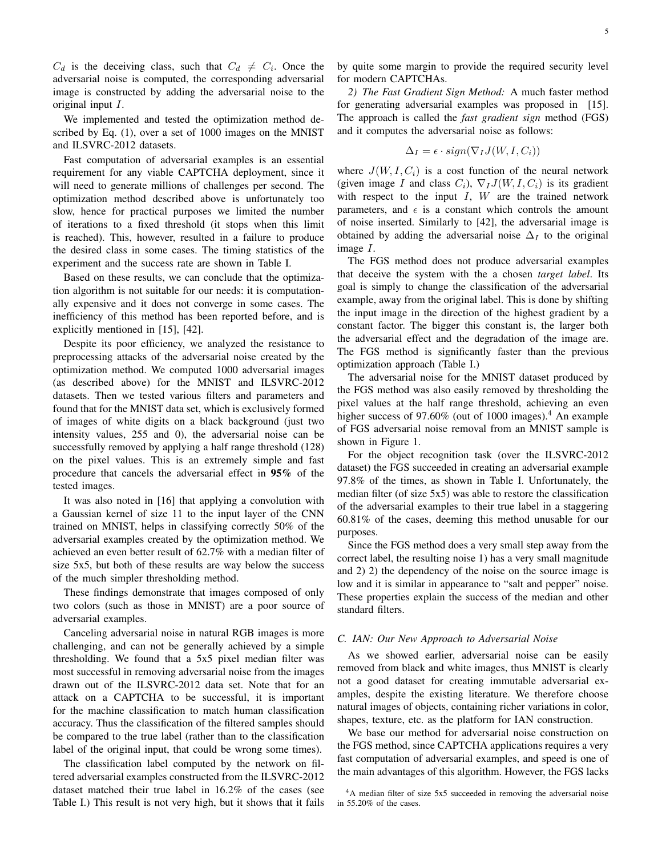$C_d$  is the deceiving class, such that  $C_d \neq C_i$ . Once the adversarial noise is computed, the corresponding adversarial image is constructed by adding the adversarial noise to the original input I.

We implemented and tested the optimization method described by Eq. (1), over a set of 1000 images on the MNIST and ILSVRC-2012 datasets.

Fast computation of adversarial examples is an essential requirement for any viable CAPTCHA deployment, since it will need to generate millions of challenges per second. The optimization method described above is unfortunately too slow, hence for practical purposes we limited the number of iterations to a fixed threshold (it stops when this limit is reached). This, however, resulted in a failure to produce the desired class in some cases. The timing statistics of the experiment and the success rate are shown in Table I.

Based on these results, we can conclude that the optimization algorithm is not suitable for our needs: it is computationally expensive and it does not converge in some cases. The inefficiency of this method has been reported before, and is explicitly mentioned in [15], [42].

Despite its poor efficiency, we analyzed the resistance to preprocessing attacks of the adversarial noise created by the optimization method. We computed 1000 adversarial images (as described above) for the MNIST and ILSVRC-2012 datasets. Then we tested various filters and parameters and found that for the MNIST data set, which is exclusively formed of images of white digits on a black background (just two intensity values, 255 and 0), the adversarial noise can be successfully removed by applying a half range threshold (128) on the pixel values. This is an extremely simple and fast procedure that cancels the adversarial effect in 95% of the tested images.

It was also noted in [16] that applying a convolution with a Gaussian kernel of size 11 to the input layer of the CNN trained on MNIST, helps in classifying correctly 50% of the adversarial examples created by the optimization method. We achieved an even better result of 62.7% with a median filter of size 5x5, but both of these results are way below the success of the much simpler thresholding method.

These findings demonstrate that images composed of only two colors (such as those in MNIST) are a poor source of adversarial examples.

Canceling adversarial noise in natural RGB images is more challenging, and can not be generally achieved by a simple thresholding. We found that a 5x5 pixel median filter was most successful in removing adversarial noise from the images drawn out of the ILSVRC-2012 data set. Note that for an attack on a CAPTCHA to be successful, it is important for the machine classification to match human classification accuracy. Thus the classification of the filtered samples should be compared to the true label (rather than to the classification label of the original input, that could be wrong some times).

The classification label computed by the network on filtered adversarial examples constructed from the ILSVRC-2012 dataset matched their true label in 16.2% of the cases (see Table I.) This result is not very high, but it shows that it fails by quite some margin to provide the required security level for modern CAPTCHAs.

*2) The Fast Gradient Sign Method:* A much faster method for generating adversarial examples was proposed in [15]. The approach is called the *fast gradient sign* method (FGS) and it computes the adversarial noise as follows:

$$
\Delta_I = \epsilon \cdot sign(\nabla_I J(W, I, C_i))
$$

where  $J(W, I, C_i)$  is a cost function of the neural network (given image I and class  $C_i$ ),  $\nabla_I J(W, I, C_i)$  is its gradient with respect to the input  $I$ ,  $W$  are the trained network parameters, and  $\epsilon$  is a constant which controls the amount of noise inserted. Similarly to [42], the adversarial image is obtained by adding the adversarial noise  $\Delta_I$  to the original image I.

The FGS method does not produce adversarial examples that deceive the system with the a chosen *target label*. Its goal is simply to change the classification of the adversarial example, away from the original label. This is done by shifting the input image in the direction of the highest gradient by a constant factor. The bigger this constant is, the larger both the adversarial effect and the degradation of the image are. The FGS method is significantly faster than the previous optimization approach (Table I.)

The adversarial noise for the MNIST dataset produced by the FGS method was also easily removed by thresholding the pixel values at the half range threshold, achieving an even higher success of 97.60% (out of 1000 images).<sup>4</sup> An example of FGS adversarial noise removal from an MNIST sample is shown in Figure 1.

For the object recognition task (over the ILSVRC-2012 dataset) the FGS succeeded in creating an adversarial example 97.8% of the times, as shown in Table I. Unfortunately, the median filter (of size 5x5) was able to restore the classification of the adversarial examples to their true label in a staggering 60.81% of the cases, deeming this method unusable for our purposes.

Since the FGS method does a very small step away from the correct label, the resulting noise 1) has a very small magnitude and 2) 2) the dependency of the noise on the source image is low and it is similar in appearance to "salt and pepper" noise. These properties explain the success of the median and other standard filters.

#### *C. IAN: Our New Approach to Adversarial Noise*

As we showed earlier, adversarial noise can be easily removed from black and white images, thus MNIST is clearly not a good dataset for creating immutable adversarial examples, despite the existing literature. We therefore choose natural images of objects, containing richer variations in color, shapes, texture, etc. as the platform for IAN construction.

We base our method for adversarial noise construction on the FGS method, since CAPTCHA applications requires a very fast computation of adversarial examples, and speed is one of the main advantages of this algorithm. However, the FGS lacks

<sup>&</sup>lt;sup>4</sup>A median filter of size 5x5 succeeded in removing the adversarial noise in 55.20% of the cases.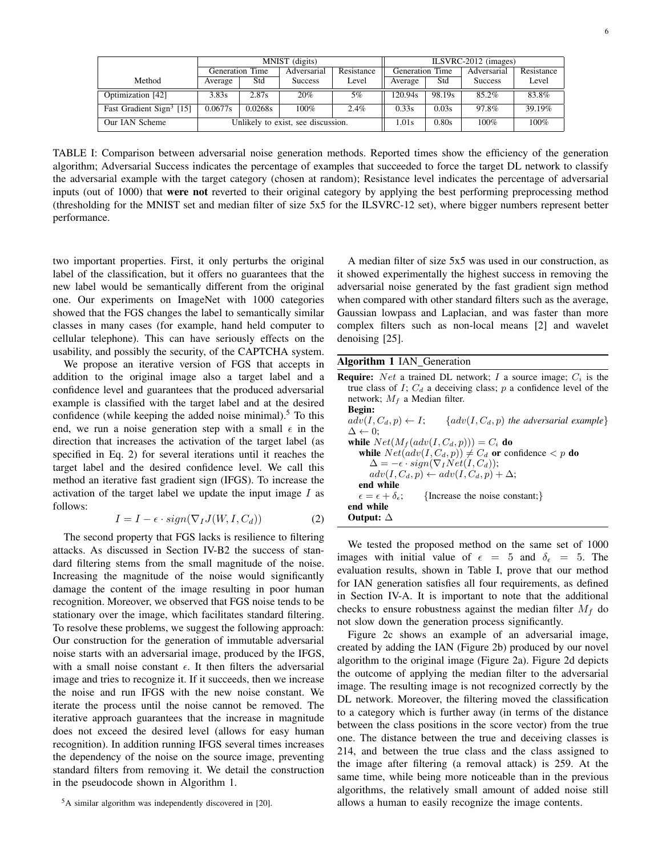|                                      | MNIST (digits)                     |         |                |            | ILSVRC-2012 (images)   |         |                |            |
|--------------------------------------|------------------------------------|---------|----------------|------------|------------------------|---------|----------------|------------|
|                                      | Generation Time                    |         | Adversarial    | Resistance | <b>Generation Time</b> |         | Adversarial    | Resistance |
| Method                               | Average                            | Std     | <b>Success</b> | Level      | Average                | Std     | <b>Success</b> | Level      |
| Optimization [42]                    | 3.83s                              | 2.87s   | 20%            | 5%         | 120.94s                | 98.19s  | 85.2%          | 83.8%      |
| Fast Gradient Sign <sup>3</sup> [15] | 0.0677s                            | 0.0268s | 100%           | 2.4%       | 0.33s                  | 0.03s   | 97.8%          | 39.19%     |
| Our IAN Scheme                       | Unlikely to exist, see discussion. |         |                | 1.01s      | 0.80s                  | $100\%$ | $100\%$        |            |

TABLE I: Comparison between adversarial noise generation methods. Reported times show the efficiency of the generation algorithm; Adversarial Success indicates the percentage of examples that succeeded to force the target DL network to classify the adversarial example with the target category (chosen at random); Resistance level indicates the percentage of adversarial inputs (out of 1000) that were not reverted to their original category by applying the best performing preprocessing method (thresholding for the MNIST set and median filter of size 5x5 for the ILSVRC-12 set), where bigger numbers represent better performance.

two important properties. First, it only perturbs the original label of the classification, but it offers no guarantees that the new label would be semantically different from the original one. Our experiments on ImageNet with 1000 categories showed that the FGS changes the label to semantically similar classes in many cases (for example, hand held computer to cellular telephone). This can have seriously effects on the usability, and possibly the security, of the CAPTCHA system.

We propose an iterative version of FGS that accepts in addition to the original image also a target label and a confidence level and guarantees that the produced adversarial example is classified with the target label and at the desired confidence (while keeping the added noise minimal).<sup>5</sup> To this end, we run a noise generation step with a small  $\epsilon$  in the direction that increases the activation of the target label (as specified in Eq. 2) for several iterations until it reaches the target label and the desired confidence level. We call this method an iterative fast gradient sign (IFGS). To increase the activation of the target label we update the input image  $I$  as follows:

$$
I = I - \epsilon \cdot sign(\nabla_I J(W, I, C_d)) \tag{2}
$$

The second property that FGS lacks is resilience to filtering attacks. As discussed in Section IV-B2 the success of standard filtering stems from the small magnitude of the noise. Increasing the magnitude of the noise would significantly damage the content of the image resulting in poor human recognition. Moreover, we observed that FGS noise tends to be stationary over the image, which facilitates standard filtering. To resolve these problems, we suggest the following approach: Our construction for the generation of immutable adversarial noise starts with an adversarial image, produced by the IFGS, with a small noise constant  $\epsilon$ . It then filters the adversarial image and tries to recognize it. If it succeeds, then we increase the noise and run IFGS with the new noise constant. We iterate the process until the noise cannot be removed. The iterative approach guarantees that the increase in magnitude does not exceed the desired level (allows for easy human recognition). In addition running IFGS several times increases the dependency of the noise on the source image, preventing standard filters from removing it. We detail the construction in the pseudocode shown in Algorithm 1.

A median filter of size 5x5 was used in our construction, as it showed experimentally the highest success in removing the adversarial noise generated by the fast gradient sign method when compared with other standard filters such as the average, Gaussian lowpass and Laplacian, and was faster than more complex filters such as non-local means [2] and wavelet denoising [25].

#### Algorithm 1 IAN\_Generation

| <b>Require:</b> <i>Net</i> a trained DL network; <i>I</i> a source image; $C_i$ is the   |
|------------------------------------------------------------------------------------------|
| true class of I; $C_d$ a deceiving class; p a confidence level of the                    |
| network; $M_f$ a Median filter.                                                          |
| <b>Begin:</b>                                                                            |
| $adv(I, C_d, p) \leftarrow I; \quad \{adv(I, C_d, p) \text{ the adversarial example} \}$ |
| $\Delta \leftarrow 0$ :                                                                  |
| while $Net(M_f(adv(I, C_d, p))) = C_i$ do                                                |
| while $Net(adv(I, C_d, p)) \neq C_d$ or confidence $\lt p$ do                            |
| $\Delta = -\epsilon \cdot sign(\nabla_I Net(I, C_d));$                                   |
| $adv(I, C_d, p) \leftarrow adv(I, C_d, p) + \Delta;$                                     |
| end while                                                                                |
| {Increase the noise constant;}<br>$\epsilon = \epsilon + \delta_{\epsilon}$              |
| end while                                                                                |
| Output: $\Delta$                                                                         |
|                                                                                          |

We tested the proposed method on the same set of 1000 images with initial value of  $\epsilon = 5$  and  $\delta_{\epsilon} = 5$ . The evaluation results, shown in Table I, prove that our method for IAN generation satisfies all four requirements, as defined in Section IV-A. It is important to note that the additional checks to ensure robustness against the median filter  $M_f$  do not slow down the generation process significantly.

Figure 2c shows an example of an adversarial image, created by adding the IAN (Figure 2b) produced by our novel algorithm to the original image (Figure 2a). Figure 2d depicts the outcome of applying the median filter to the adversarial image. The resulting image is not recognized correctly by the DL network. Moreover, the filtering moved the classification to a category which is further away (in terms of the distance between the class positions in the score vector) from the true one. The distance between the true and deceiving classes is 214, and between the true class and the class assigned to the image after filtering (a removal attack) is 259. At the same time, while being more noticeable than in the previous algorithms, the relatively small amount of added noise still allows a human to easily recognize the image contents.

<sup>5</sup>A similar algorithm was independently discovered in [20].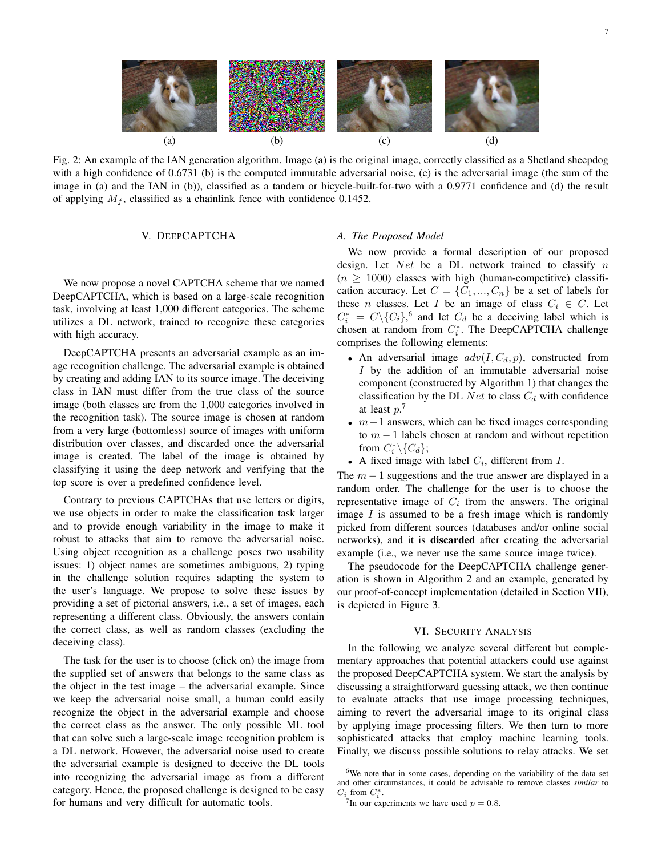

Fig. 2: An example of the IAN generation algorithm. Image (a) is the original image, correctly classified as a Shetland sheepdog with a high confidence of 0.6731 (b) is the computed immutable adversarial noise, (c) is the adversarial image (the sum of the image in (a) and the IAN in (b)), classified as a tandem or bicycle-built-for-two with a 0.9771 confidence and (d) the result of applying  $M_f$ , classified as a chainlink fence with confidence 0.1452.

#### V. DEEPCAPTCHA

We now propose a novel CAPTCHA scheme that we named DeepCAPTCHA, which is based on a large-scale recognition task, involving at least 1,000 different categories. The scheme utilizes a DL network, trained to recognize these categories with high accuracy.

DeepCAPTCHA presents an adversarial example as an image recognition challenge. The adversarial example is obtained by creating and adding IAN to its source image. The deceiving class in IAN must differ from the true class of the source image (both classes are from the 1,000 categories involved in the recognition task). The source image is chosen at random from a very large (bottomless) source of images with uniform distribution over classes, and discarded once the adversarial image is created. The label of the image is obtained by classifying it using the deep network and verifying that the top score is over a predefined confidence level.

Contrary to previous CAPTCHAs that use letters or digits, we use objects in order to make the classification task larger and to provide enough variability in the image to make it robust to attacks that aim to remove the adversarial noise. Using object recognition as a challenge poses two usability issues: 1) object names are sometimes ambiguous, 2) typing in the challenge solution requires adapting the system to the user's language. We propose to solve these issues by providing a set of pictorial answers, i.e., a set of images, each representing a different class. Obviously, the answers contain the correct class, as well as random classes (excluding the deceiving class).

The task for the user is to choose (click on) the image from the supplied set of answers that belongs to the same class as the object in the test image – the adversarial example. Since we keep the adversarial noise small, a human could easily recognize the object in the adversarial example and choose the correct class as the answer. The only possible ML tool that can solve such a large-scale image recognition problem is a DL network. However, the adversarial noise used to create the adversarial example is designed to deceive the DL tools into recognizing the adversarial image as from a different category. Hence, the proposed challenge is designed to be easy for humans and very difficult for automatic tools.

#### *A. The Proposed Model*

We now provide a formal description of our proposed design. Let  $Net$  be a DL network trained to classify n  $(n \ge 1000)$  classes with high (human-competitive) classification accuracy. Let  $C = \{C_1, ..., C_n\}$  be a set of labels for these *n* classes. Let *I* be an image of class  $C_i \in C$ . Let  $C_i^* = C \setminus \{C_i\}^6$  and let  $C_d$  be a deceiving label which is chosen at random from  $C_i^*$ . The DeepCAPTCHA challenge comprises the following elements:

- An adversarial image  $adv(I, C_d, p)$ , constructed from I by the addition of an immutable adversarial noise component (constructed by Algorithm 1) that changes the classification by the DL Net to class  $C_d$  with confidence at least  $p^2$ .
- $m-1$  answers, which can be fixed images corresponding to  $m - 1$  labels chosen at random and without repetition from  $C_i^* \backslash \{C_d\};$
- A fixed image with label  $C_i$ , different from  $I$ .

The  $m-1$  suggestions and the true answer are displayed in a random order. The challenge for the user is to choose the representative image of  $C_i$  from the answers. The original image  $I$  is assumed to be a fresh image which is randomly picked from different sources (databases and/or online social networks), and it is discarded after creating the adversarial example (i.e., we never use the same source image twice).

The pseudocode for the DeepCAPTCHA challenge generation is shown in Algorithm 2 and an example, generated by our proof-of-concept implementation (detailed in Section VII), is depicted in Figure 3.

#### VI. SECURITY ANALYSIS

In the following we analyze several different but complementary approaches that potential attackers could use against the proposed DeepCAPTCHA system. We start the analysis by discussing a straightforward guessing attack, we then continue to evaluate attacks that use image processing techniques, aiming to revert the adversarial image to its original class by applying image processing filters. We then turn to more sophisticated attacks that employ machine learning tools. Finally, we discuss possible solutions to relay attacks. We set

<sup>&</sup>lt;sup>6</sup>We note that in some cases, depending on the variability of the data set and other circumstances, it could be advisable to remove classes *similar* to  $C_i$  from  $C_i^*$ .

<sup>&</sup>lt;sup>7</sup>In our experiments we have used  $p = 0.8$ .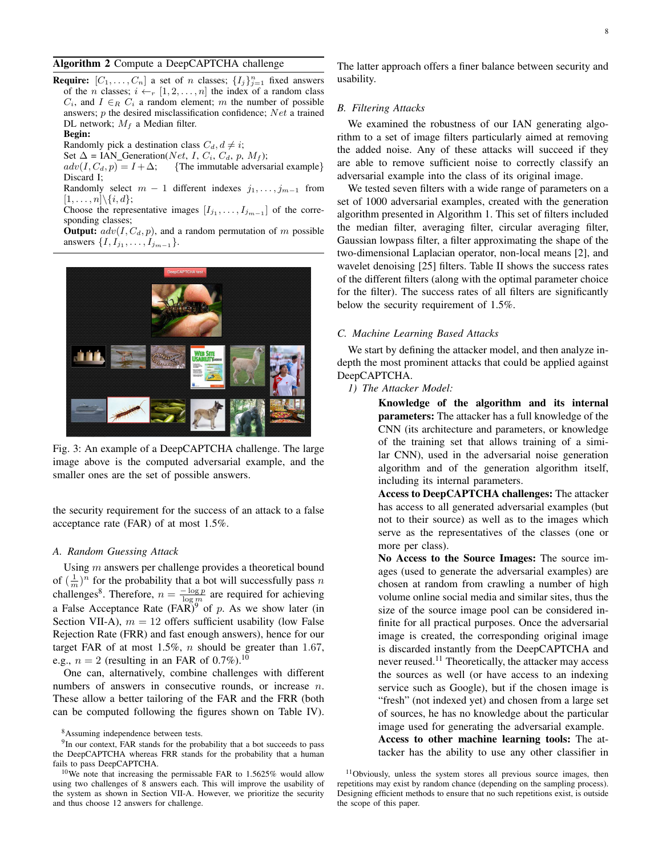#### Algorithm 2 Compute a DeepCAPTCHA challenge

**Require:**  $[C_1, \ldots, C_n]$  a set of n classes;  $\{I_j\}_{j=1}^n$  fixed answers of the *n* classes;  $i \leftarrow_r [1, 2, \ldots, n]$  the index of a random class  $C_i$ , and  $I \in_R C_i$  a random element; m the number of possible answers;  $p$  the desired misclassification confidence;  $Net$  a trained DL network;  $M_f$  a Median filter.

#### Begin:

Randomly pick a destination class  $C_d$ ,  $d \neq i$ ;

Set  $\Delta$  = IAN\_Generation(*Net, I, C<sub>i</sub>, C<sub>d</sub>, p, M<sub>f</sub>);<br>adv(I, C<sub>d</sub>, p) = I +*  $\Delta$ *; {The immutable adversal* {The immutable adversarial example} Discard I;

Randomly select  $m - 1$  different indexes  $j_1, \ldots, j_{m-1}$  from  $[1, \ldots, n] \backslash \{i, d\};$ 

Choose the representative images  $[I_{j_1},...,I_{j_{m-1}}]$  of the corresponding classes;

**Output:**  $adv(I, C_d, p)$ , and a random permutation of m possible answers  $\{I, I_{j_1}, \ldots, I_{j_{m-1}}\}.$ 



Fig. 3: An example of a DeepCAPTCHA challenge. The large image above is the computed adversarial example, and the smaller ones are the set of possible answers.

the security requirement for the success of an attack to a false acceptance rate (FAR) of at most 1.5%.

#### *A. Random Guessing Attack*

Using m answers per challenge provides a theoretical bound of  $(\frac{1}{m})^n$  for the probability that a bot will successfully pass n challenges<sup>8</sup>. Therefore,  $n = \frac{-\log p}{\log m}$  are required for achieving a False Acceptance Rate  $(FAR)^9$  of p. As we show later (in Section VII-A),  $m = 12$  offers sufficient usability (low False Rejection Rate (FRR) and fast enough answers), hence for our target FAR of at most  $1.5\%$ , *n* should be greater than 1.67, e.g.,  $n = 2$  (resulting in an FAR of 0.7%).<sup>10</sup>

One can, alternatively, combine challenges with different numbers of answers in consecutive rounds, or increase *n*. These allow a better tailoring of the FAR and the FRR (both can be computed following the figures shown on Table IV). The latter approach offers a finer balance between security and usability.

#### *B. Filtering Attacks*

We examined the robustness of our IAN generating algorithm to a set of image filters particularly aimed at removing the added noise. Any of these attacks will succeed if they are able to remove sufficient noise to correctly classify an adversarial example into the class of its original image.

We tested seven filters with a wide range of parameters on a set of 1000 adversarial examples, created with the generation algorithm presented in Algorithm 1. This set of filters included the median filter, averaging filter, circular averaging filter, Gaussian lowpass filter, a filter approximating the shape of the two-dimensional Laplacian operator, non-local means [2], and wavelet denoising [25] filters. Table II shows the success rates of the different filters (along with the optimal parameter choice for the filter). The success rates of all filters are significantly below the security requirement of 1.5%.

#### *C. Machine Learning Based Attacks*

We start by defining the attacker model, and then analyze indepth the most prominent attacks that could be applied against DeepCAPTCHA.

#### *1) The Attacker Model:*

Knowledge of the algorithm and its internal parameters: The attacker has a full knowledge of the CNN (its architecture and parameters, or knowledge of the training set that allows training of a similar CNN), used in the adversarial noise generation algorithm and of the generation algorithm itself, including its internal parameters.

Access to DeepCAPTCHA challenges: The attacker has access to all generated adversarial examples (but not to their source) as well as to the images which serve as the representatives of the classes (one or more per class).

No Access to the Source Images: The source images (used to generate the adversarial examples) are chosen at random from crawling a number of high volume online social media and similar sites, thus the size of the source image pool can be considered infinite for all practical purposes. Once the adversarial image is created, the corresponding original image is discarded instantly from the DeepCAPTCHA and never reused.<sup>11</sup> Theoretically, the attacker may access the sources as well (or have access to an indexing service such as Google), but if the chosen image is "fresh" (not indexed yet) and chosen from a large set of sources, he has no knowledge about the particular image used for generating the adversarial example. Access to other machine learning tools: The attacker has the ability to use any other classifier in

<sup>&</sup>lt;sup>8</sup>Assuming independence between tests.

<sup>&</sup>lt;sup>9</sup>In our context, FAR stands for the probability that a bot succeeds to pass the DeepCAPTCHA whereas FRR stands for the probability that a human fails to pass DeepCAPTCHA.

<sup>10</sup>We note that increasing the permissable FAR to 1.5625% would allow using two challenges of 8 answers each. This will improve the usability of the system as shown in Section VII-A. However, we prioritize the security and thus choose 12 answers for challenge.

<sup>11</sup>Obviously, unless the system stores all previous source images, then repetitions may exist by random chance (depending on the sampling process). Designing efficient methods to ensure that no such repetitions exist, is outside the scope of this paper.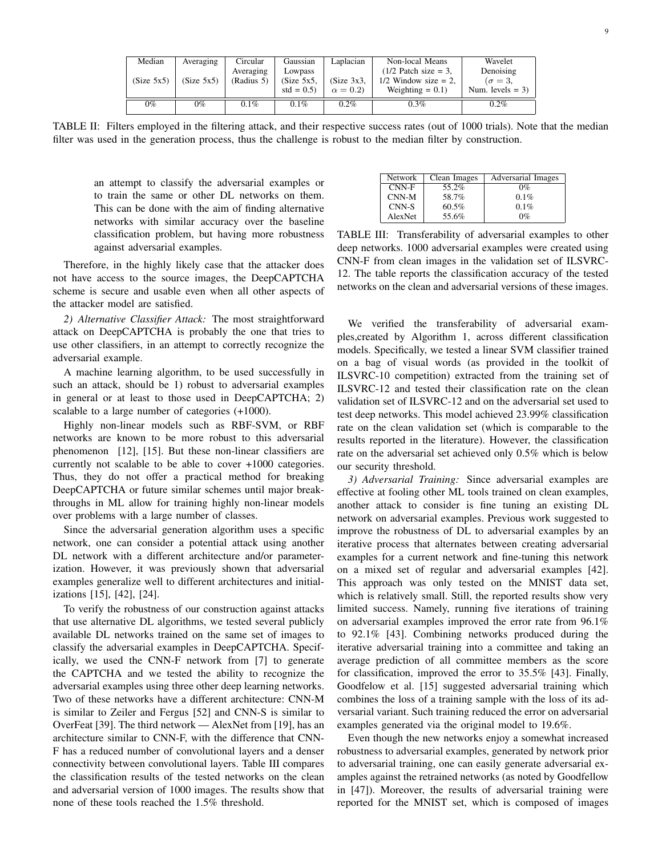| Median     | Averaging  | Circular   | Gaussian      | Laplacian      | Non-local Means        | Wavelet            |
|------------|------------|------------|---------------|----------------|------------------------|--------------------|
|            |            | Averaging  | Lowpass       |                | $(1/2$ Patch size = 3. | Denoising          |
| (Size 5x5) | (Size 5x5) | (Radius 5) | $(Size 5x5$ . | (Size 3x3,     | $1/2$ Window size = 2, | $\sigma = 3$ .     |
|            |            |            | $std = 0.5$   | $\alpha = 0.2$ | Weighting $= 0.1$ )    | Num. levels $=$ 3) |
| $0\%$      | 0%         | $0.1\%$    | $0.1\%$       | $0.2\%$        | $0.3\%$                | $0.2\%$            |
|            |            |            |               |                |                        |                    |

TABLE II: Filters employed in the filtering attack, and their respective success rates (out of 1000 trials). Note that the median filter was used in the generation process, thus the challenge is robust to the median filter by construction.

an attempt to classify the adversarial examples or to train the same or other DL networks on them. This can be done with the aim of finding alternative networks with similar accuracy over the baseline classification problem, but having more robustness against adversarial examples.

Therefore, in the highly likely case that the attacker does not have access to the source images, the DeepCAPTCHA scheme is secure and usable even when all other aspects of the attacker model are satisfied.

*2) Alternative Classifier Attack:* The most straightforward attack on DeepCAPTCHA is probably the one that tries to use other classifiers, in an attempt to correctly recognize the adversarial example.

A machine learning algorithm, to be used successfully in such an attack, should be 1) robust to adversarial examples in general or at least to those used in DeepCAPTCHA; 2) scalable to a large number of categories (+1000).

Highly non-linear models such as RBF-SVM, or RBF networks are known to be more robust to this adversarial phenomenon [12], [15]. But these non-linear classifiers are currently not scalable to be able to cover +1000 categories. Thus, they do not offer a practical method for breaking DeepCAPTCHA or future similar schemes until major breakthroughs in ML allow for training highly non-linear models over problems with a large number of classes.

Since the adversarial generation algorithm uses a specific network, one can consider a potential attack using another DL network with a different architecture and/or parameterization. However, it was previously shown that adversarial examples generalize well to different architectures and initializations [15], [42], [24].

To verify the robustness of our construction against attacks that use alternative DL algorithms, we tested several publicly available DL networks trained on the same set of images to classify the adversarial examples in DeepCAPTCHA. Specifically, we used the CNN-F network from [7] to generate the CAPTCHA and we tested the ability to recognize the adversarial examples using three other deep learning networks. Two of these networks have a different architecture: CNN-M is similar to Zeiler and Fergus [52] and CNN-S is similar to OverFeat [39]. The third network — AlexNet from [19], has an architecture similar to CNN-F, with the difference that CNN-F has a reduced number of convolutional layers and a denser connectivity between convolutional layers. Table III compares the classification results of the tested networks on the clean and adversarial version of 1000 images. The results show that none of these tools reached the 1.5% threshold.

| Network | Clean Images | Adversarial Images |
|---------|--------------|--------------------|
| $CNN-F$ | 55.2%        | $0\%$              |
| $CNN-M$ | 58.7%        | $0.1\%$            |
| CNN-S   | 60.5%        | 0.1%               |
| AlexNet | 55.6%        | $0\%$              |

TABLE III: Transferability of adversarial examples to other deep networks. 1000 adversarial examples were created using CNN-F from clean images in the validation set of ILSVRC-12. The table reports the classification accuracy of the tested networks on the clean and adversarial versions of these images.

We verified the transferability of adversarial examples,created by Algorithm 1, across different classification models. Specifically, we tested a linear SVM classifier trained on a bag of visual words (as provided in the toolkit of ILSVRC-10 competition) extracted from the training set of ILSVRC-12 and tested their classification rate on the clean validation set of ILSVRC-12 and on the adversarial set used to test deep networks. This model achieved 23.99% classification rate on the clean validation set (which is comparable to the results reported in the literature). However, the classification rate on the adversarial set achieved only 0.5% which is below our security threshold.

*3) Adversarial Training:* Since adversarial examples are effective at fooling other ML tools trained on clean examples, another attack to consider is fine tuning an existing DL network on adversarial examples. Previous work suggested to improve the robustness of DL to adversarial examples by an iterative process that alternates between creating adversarial examples for a current network and fine-tuning this network on a mixed set of regular and adversarial examples [42]. This approach was only tested on the MNIST data set, which is relatively small. Still, the reported results show very limited success. Namely, running five iterations of training on adversarial examples improved the error rate from 96.1% to 92.1% [43]. Combining networks produced during the iterative adversarial training into a committee and taking an average prediction of all committee members as the score for classification, improved the error to 35.5% [43]. Finally, Goodfelow et al. [15] suggested adversarial training which combines the loss of a training sample with the loss of its adversarial variant. Such training reduced the error on adversarial examples generated via the original model to 19.6%.

Even though the new networks enjoy a somewhat increased robustness to adversarial examples, generated by network prior to adversarial training, one can easily generate adversarial examples against the retrained networks (as noted by Goodfellow in [47]). Moreover, the results of adversarial training were reported for the MNIST set, which is composed of images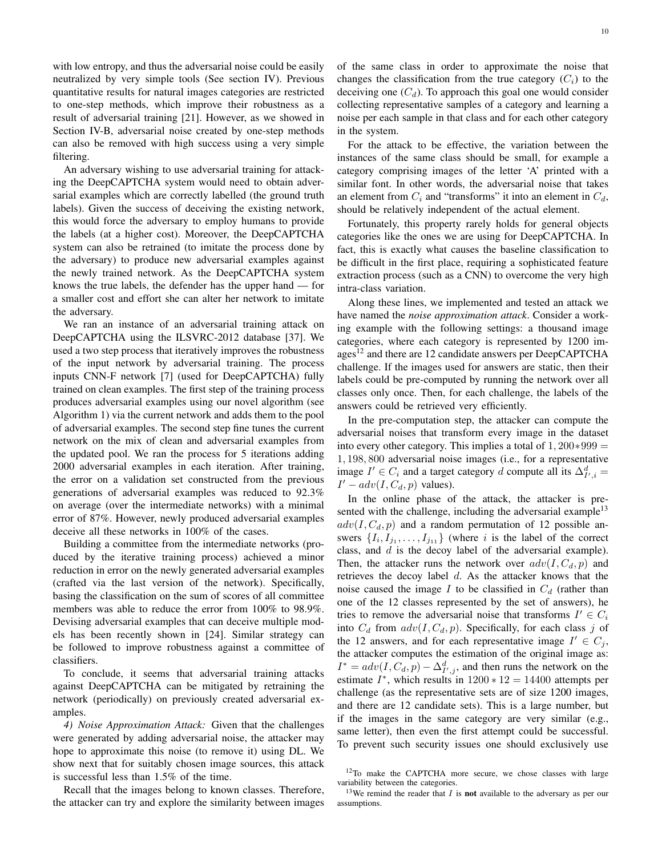with low entropy, and thus the adversarial noise could be easily neutralized by very simple tools (See section IV). Previous quantitative results for natural images categories are restricted to one-step methods, which improve their robustness as a result of adversarial training [21]. However, as we showed in Section IV-B, adversarial noise created by one-step methods can also be removed with high success using a very simple filtering.

An adversary wishing to use adversarial training for attacking the DeepCAPTCHA system would need to obtain adversarial examples which are correctly labelled (the ground truth labels). Given the success of deceiving the existing network, this would force the adversary to employ humans to provide the labels (at a higher cost). Moreover, the DeepCAPTCHA system can also be retrained (to imitate the process done by the adversary) to produce new adversarial examples against the newly trained network. As the DeepCAPTCHA system knows the true labels, the defender has the upper hand — for a smaller cost and effort she can alter her network to imitate the adversary.

We ran an instance of an adversarial training attack on DeepCAPTCHA using the ILSVRC-2012 database [37]. We used a two step process that iteratively improves the robustness of the input network by adversarial training. The process inputs CNN-F network [7] (used for DeepCAPTCHA) fully trained on clean examples. The first step of the training process produces adversarial examples using our novel algorithm (see Algorithm 1) via the current network and adds them to the pool of adversarial examples. The second step fine tunes the current network on the mix of clean and adversarial examples from the updated pool. We ran the process for 5 iterations adding 2000 adversarial examples in each iteration. After training, the error on a validation set constructed from the previous generations of adversarial examples was reduced to 92.3% on average (over the intermediate networks) with a minimal error of 87%. However, newly produced adversarial examples deceive all these networks in 100% of the cases.

Building a committee from the intermediate networks (produced by the iterative training process) achieved a minor reduction in error on the newly generated adversarial examples (crafted via the last version of the network). Specifically, basing the classification on the sum of scores of all committee members was able to reduce the error from 100% to 98.9%. Devising adversarial examples that can deceive multiple models has been recently shown in [24]. Similar strategy can be followed to improve robustness against a committee of classifiers.

To conclude, it seems that adversarial training attacks against DeepCAPTCHA can be mitigated by retraining the network (periodically) on previously created adversarial examples.

*4) Noise Approximation Attack:* Given that the challenges were generated by adding adversarial noise, the attacker may hope to approximate this noise (to remove it) using DL. We show next that for suitably chosen image sources, this attack is successful less than 1.5% of the time.

Recall that the images belong to known classes. Therefore, the attacker can try and explore the similarity between images of the same class in order to approximate the noise that changes the classification from the true category  $(C_i)$  to the deceiving one  $(C_d)$ . To approach this goal one would consider collecting representative samples of a category and learning a noise per each sample in that class and for each other category in the system.

For the attack to be effective, the variation between the instances of the same class should be small, for example a category comprising images of the letter 'A' printed with a similar font. In other words, the adversarial noise that takes an element from  $C_i$  and "transforms" it into an element in  $C_d$ , should be relatively independent of the actual element.

Fortunately, this property rarely holds for general objects categories like the ones we are using for DeepCAPTCHA. In fact, this is exactly what causes the baseline classification to be difficult in the first place, requiring a sophisticated feature extraction process (such as a CNN) to overcome the very high intra-class variation.

Along these lines, we implemented and tested an attack we have named the *noise approximation attack*. Consider a working example with the following settings: a thousand image categories, where each category is represented by 1200 images<sup>12</sup> and there are 12 candidate answers per DeepCAPTCHA challenge. If the images used for answers are static, then their labels could be pre-computed by running the network over all classes only once. Then, for each challenge, the labels of the answers could be retrieved very efficiently.

In the pre-computation step, the attacker can compute the adversarial noises that transform every image in the dataset into every other category. This implies a total of  $1,200*999 =$ 1, 198, 800 adversarial noise images (i.e., for a representative image  $I' \in C_i$  and a target category d compute all its  $\Delta_{I',i}^d =$  $I' - adv(I, C_d, p)$  values).

In the online phase of the attack, the attacker is presented with the challenge, including the adversarial example<sup>13</sup>  $adv(I, C_d, p)$  and a random permutation of 12 possible answers  $\{I_i, I_{j_1}, \ldots, I_{j_{11}}\}$  (where i is the label of the correct class, and  $d$  is the decoy label of the adversarial example). Then, the attacker runs the network over  $adv(I, C_d, p)$  and retrieves the decoy label d. As the attacker knows that the noise caused the image I to be classified in  $C_d$  (rather than one of the 12 classes represented by the set of answers), he tries to remove the adversarial noise that transforms  $I' \in C_i$ into  $C_d$  from  $adv(I, C_d, p)$ . Specifically, for each class j of the 12 answers, and for each representative image  $I' \in C_j$ , the attacker computes the estimation of the original image as:  $I^* = adv(I, C_d, p) - \Delta_{I',j}^d$ , and then runs the network on the estimate  $I^*$ , which results in 1200  $*$  12 = 14400 attempts per challenge (as the representative sets are of size 1200 images, and there are 12 candidate sets). This is a large number, but if the images in the same category are very similar (e.g., same letter), then even the first attempt could be successful. To prevent such security issues one should exclusively use

<sup>&</sup>lt;sup>12</sup>To make the CAPTCHA more secure, we chose classes with large variability between the categories.

<sup>&</sup>lt;sup>13</sup>We remind the reader that  $I$  is **not** available to the adversary as per our assumptions.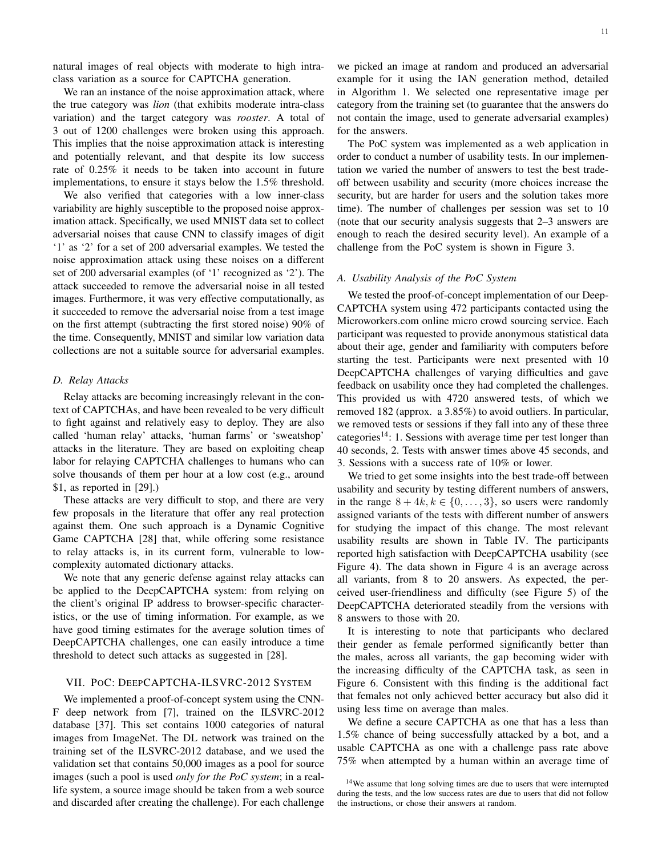natural images of real objects with moderate to high intraclass variation as a source for CAPTCHA generation.

We ran an instance of the noise approximation attack, where the true category was *lion* (that exhibits moderate intra-class variation) and the target category was *rooster*. A total of 3 out of 1200 challenges were broken using this approach. This implies that the noise approximation attack is interesting and potentially relevant, and that despite its low success rate of 0.25% it needs to be taken into account in future implementations, to ensure it stays below the 1.5% threshold.

We also verified that categories with a low inner-class variability are highly susceptible to the proposed noise approximation attack. Specifically, we used MNIST data set to collect adversarial noises that cause CNN to classify images of digit '1' as '2' for a set of 200 adversarial examples. We tested the noise approximation attack using these noises on a different set of 200 adversarial examples (of '1' recognized as '2'). The attack succeeded to remove the adversarial noise in all tested images. Furthermore, it was very effective computationally, as it succeeded to remove the adversarial noise from a test image on the first attempt (subtracting the first stored noise) 90% of the time. Consequently, MNIST and similar low variation data collections are not a suitable source for adversarial examples.

#### *D. Relay Attacks*

Relay attacks are becoming increasingly relevant in the context of CAPTCHAs, and have been revealed to be very difficult to fight against and relatively easy to deploy. They are also called 'human relay' attacks, 'human farms' or 'sweatshop' attacks in the literature. They are based on exploiting cheap labor for relaying CAPTCHA challenges to humans who can solve thousands of them per hour at a low cost (e.g., around \$1, as reported in [29].)

These attacks are very difficult to stop, and there are very few proposals in the literature that offer any real protection against them. One such approach is a Dynamic Cognitive Game CAPTCHA [28] that, while offering some resistance to relay attacks is, in its current form, vulnerable to lowcomplexity automated dictionary attacks.

We note that any generic defense against relay attacks can be applied to the DeepCAPTCHA system: from relying on the client's original IP address to browser-specific characteristics, or the use of timing information. For example, as we have good timing estimates for the average solution times of DeepCAPTCHA challenges, one can easily introduce a time threshold to detect such attacks as suggested in [28].

#### VII. POC: DEEPCAPTCHA-ILSVRC-2012 SYSTEM

We implemented a proof-of-concept system using the CNN-F deep network from [7], trained on the ILSVRC-2012 database [37]. This set contains 1000 categories of natural images from ImageNet. The DL network was trained on the training set of the ILSVRC-2012 database, and we used the validation set that contains 50,000 images as a pool for source images (such a pool is used *only for the PoC system*; in a reallife system, a source image should be taken from a web source and discarded after creating the challenge). For each challenge we picked an image at random and produced an adversarial example for it using the IAN generation method, detailed in Algorithm 1. We selected one representative image per category from the training set (to guarantee that the answers do not contain the image, used to generate adversarial examples) for the answers.

The PoC system was implemented as a web application in order to conduct a number of usability tests. In our implementation we varied the number of answers to test the best tradeoff between usability and security (more choices increase the security, but are harder for users and the solution takes more time). The number of challenges per session was set to 10 (note that our security analysis suggests that 2–3 answers are enough to reach the desired security level). An example of a challenge from the PoC system is shown in Figure 3.

#### *A. Usability Analysis of the PoC System*

We tested the proof-of-concept implementation of our Deep-CAPTCHA system using 472 participants contacted using the Microworkers.com online micro crowd sourcing service. Each participant was requested to provide anonymous statistical data about their age, gender and familiarity with computers before starting the test. Participants were next presented with 10 DeepCAPTCHA challenges of varying difficulties and gave feedback on usability once they had completed the challenges. This provided us with 4720 answered tests, of which we removed 182 (approx. a 3.85%) to avoid outliers. In particular, we removed tests or sessions if they fall into any of these three categories<sup>14</sup>: 1. Sessions with average time per test longer than 40 seconds, 2. Tests with answer times above 45 seconds, and 3. Sessions with a success rate of 10% or lower.

We tried to get some insights into the best trade-off between usability and security by testing different numbers of answers, in the range  $8 + 4k, k \in \{0, \ldots, 3\}$ , so users were randomly assigned variants of the tests with different number of answers for studying the impact of this change. The most relevant usability results are shown in Table IV. The participants reported high satisfaction with DeepCAPTCHA usability (see Figure 4). The data shown in Figure 4 is an average across all variants, from 8 to 20 answers. As expected, the perceived user-friendliness and difficulty (see Figure 5) of the DeepCAPTCHA deteriorated steadily from the versions with 8 answers to those with 20.

It is interesting to note that participants who declared their gender as female performed significantly better than the males, across all variants, the gap becoming wider with the increasing difficulty of the CAPTCHA task, as seen in Figure 6. Consistent with this finding is the additional fact that females not only achieved better accuracy but also did it using less time on average than males.

We define a secure CAPTCHA as one that has a less than 1.5% chance of being successfully attacked by a bot, and a usable CAPTCHA as one with a challenge pass rate above 75% when attempted by a human within an average time of

<sup>&</sup>lt;sup>14</sup>We assume that long solving times are due to users that were interrupted during the tests, and the low success rates are due to users that did not follow the instructions, or chose their answers at random.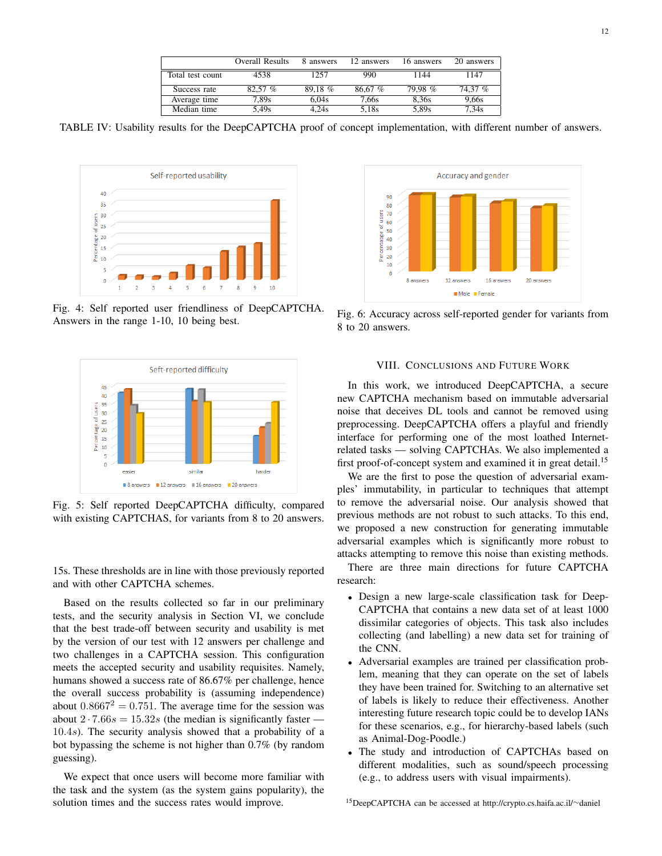|                  | Overall Results | 8 answers | 12 answers | 16 answers | 20 answers |
|------------------|-----------------|-----------|------------|------------|------------|
| Total test count | 4538            | 1257      | 990        | 1144       | 1147       |
| Success rate     | 82.57 %         | 89.18 %   | 86.67 %    | 79.98 %    | 74.37 %    |
| Average time     | 7.89s           | 6.04s     | 7,66s      | 8.36s      | 9.66s      |
| Median time      | 5,49s           | 4.24s     | 5,18s      | 5,89s      | 7.34s      |

TABLE IV: Usability results for the DeepCAPTCHA proof of concept implementation, with different number of answers.



Fig. 4: Self reported user friendliness of DeepCAPTCHA. Answers in the range 1-10, 10 being best.



Fig. 5: Self reported DeepCAPTCHA difficulty, compared with existing CAPTCHAS, for variants from 8 to 20 answers.

15s. These thresholds are in line with those previously reported and with other CAPTCHA schemes.

Based on the results collected so far in our preliminary tests, and the security analysis in Section VI, we conclude that the best trade-off between security and usability is met by the version of our test with 12 answers per challenge and two challenges in a CAPTCHA session. This configuration meets the accepted security and usability requisites. Namely, humans showed a success rate of 86.67% per challenge, hence the overall success probability is (assuming independence) about  $0.8667^2 = 0.751$ . The average time for the session was about  $2 \cdot 7.66s = 15.32s$  (the median is significantly faster — 10.4s). The security analysis showed that a probability of a bot bypassing the scheme is not higher than 0.7% (by random guessing).

We expect that once users will become more familiar with the task and the system (as the system gains popularity), the solution times and the success rates would improve.



Fig. 6: Accuracy across self-reported gender for variants from 8 to 20 answers.

#### VIII. CONCLUSIONS AND FUTURE WORK

In this work, we introduced DeepCAPTCHA, a secure new CAPTCHA mechanism based on immutable adversarial noise that deceives DL tools and cannot be removed using preprocessing. DeepCAPTCHA offers a playful and friendly interface for performing one of the most loathed Internetrelated tasks — solving CAPTCHAs. We also implemented a first proof-of-concept system and examined it in great detail.<sup>15</sup>

We are the first to pose the question of adversarial examples' immutability, in particular to techniques that attempt to remove the adversarial noise. Our analysis showed that previous methods are not robust to such attacks. To this end, we proposed a new construction for generating immutable adversarial examples which is significantly more robust to attacks attempting to remove this noise than existing methods.

There are three main directions for future CAPTCHA research:

- Design a new large-scale classification task for Deep-CAPTCHA that contains a new data set of at least 1000 dissimilar categories of objects. This task also includes collecting (and labelling) a new data set for training of the CNN.
- Adversarial examples are trained per classification problem, meaning that they can operate on the set of labels they have been trained for. Switching to an alternative set of labels is likely to reduce their effectiveness. Another interesting future research topic could be to develop IANs for these scenarios, e.g., for hierarchy-based labels (such as Animal-Dog-Poodle.)
- The study and introduction of CAPTCHAs based on different modalities, such as sound/speech processing (e.g., to address users with visual impairments).

<sup>15</sup>DeepCAPTCHA can be accessed at http://crypto.cs.haifa.ac.il/∼daniel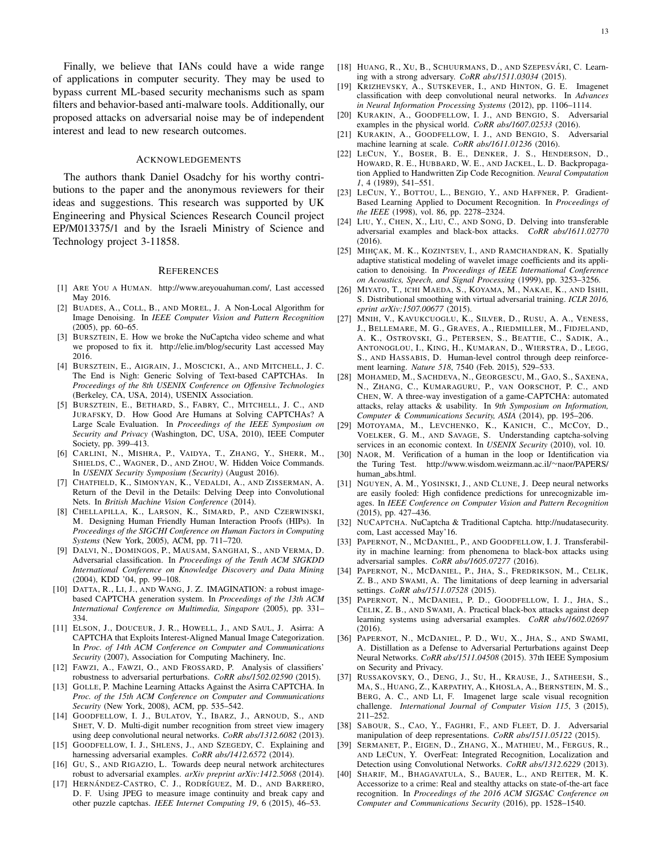Finally, we believe that IANs could have a wide range of applications in computer security. They may be used to bypass current ML-based security mechanisms such as spam filters and behavior-based anti-malware tools. Additionally, our proposed attacks on adversarial noise may be of independent interest and lead to new research outcomes.

#### ACKNOWLEDGEMENTS

The authors thank Daniel Osadchy for his worthy contributions to the paper and the anonymous reviewers for their ideas and suggestions. This research was supported by UK Engineering and Physical Sciences Research Council project EP/M013375/1 and by the Israeli Ministry of Science and Technology project 3-11858.

#### **REFERENCES**

- [1] ARE YOU A HUMAN. http://www.areyouahuman.com/, Last accessed May 2016.
- [2] BUADES, A., COLL, B., AND MOREL, J. A Non-Local Algorithm for Image Denoising. In *IEEE Computer Vision and Pattern Recognition* (2005), pp. 60–65.
- [3] BURSZTEIN, E. How we broke the NuCaptcha video scheme and what we proposed to fix it. http://elie.im/blog/security Last accessed May 2016.
- [4] BURSZTEIN, E., AIGRAIN, J., MOSCICKI, A., AND MITCHELL, J. C. The End is Nigh: Generic Solving of Text-based CAPTCHAs. In *Proceedings of the 8th USENIX Conference on Offensive Technologies* (Berkeley, CA, USA, 2014), USENIX Association.
- [5] BURSZTEIN, E., BETHARD, S., FABRY, C., MITCHELL, J. C., AND JURAFSKY, D. How Good Are Humans at Solving CAPTCHAs? A Large Scale Evaluation. In *Proceedings of the IEEE Symposium on Security and Privacy* (Washington, DC, USA, 2010), IEEE Computer Society, pp. 399–413.
- [6] CARLINI, N., MISHRA, P., VAIDYA, T., ZHANG, Y., SHERR, M., SHIELDS, C., WAGNER, D., AND ZHOU, W. Hidden Voice Commands. In *USENIX Security Symposium (Security)* (August 2016).
- [7] CHATFIELD, K., SIMONYAN, K., VEDALDI, A., AND ZISSERMAN, A. Return of the Devil in the Details: Delving Deep into Convolutional Nets. In *British Machine Vision Conference* (2014).
- [8] CHELLAPILLA, K., LARSON, K., SIMARD, P., AND CZERWINSKI, M. Designing Human Friendly Human Interaction Proofs (HIPs). In *Proceedings of the SIGCHI Conference on Human Factors in Computing Systems* (New York, 2005), ACM, pp. 711–720.
- [9] DALVI, N., DOMINGOS, P., MAUSAM, SANGHAI, S., AND VERMA, D. Adversarial classification. In *Proceedings of the Tenth ACM SIGKDD International Conference on Knowledge Discovery and Data Mining* (2004), KDD '04, pp. 99–108.
- [10] DATTA, R., LI, J., AND WANG, J. Z. IMAGINATION: a robust imagebased CAPTCHA generation system. In *Proceedings of the 13th ACM International Conference on Multimedia, Singapore* (2005), pp. 331– 334.
- [11] ELSON, J., DOUCEUR, J. R., HOWELL, J., AND SAUL, J. Asirra: A CAPTCHA that Exploits Interest-Aligned Manual Image Categorization. In *Proc. of 14th ACM Conference on Computer and Communications Security* (2007), Association for Computing Machinery, Inc.
- [12] FAWZI, A., FAWZI, O., AND FROSSARD, P. Analysis of classifiers' robustness to adversarial perturbations. *CoRR abs/1502.02590* (2015).
- [13] GOLLE, P. Machine Learning Attacks Against the Asirra CAPTCHA. In *Proc. of the 15th ACM Conference on Computer and Communications Security* (New York, 2008), ACM, pp. 535–542.
- [14] GOODFELLOW, I. J., BULATOV, Y., IBARZ, J., ARNOUD, S., AND SHET, V. D. Multi-digit number recognition from street view imagery using deep convolutional neural networks. *CoRR abs/1312.6082* (2013).
- [15] GOODFELLOW, I. J., SHLENS, J., AND SZEGEDY, C. Explaining and harnessing adversarial examples. *CoRR abs/1412.6572* (2014).
- [16] GU, S., AND RIGAZIO, L. Towards deep neural network architectures robust to adversarial examples. *arXiv preprint arXiv:1412.5068* (2014).
- [17] HERNÁNDEZ-CASTRO, C. J., RODRÍGUEZ, M. D., AND BARRERO, D. F. Using JPEG to measure image continuity and break capy and other puzzle captchas. *IEEE Internet Computing 19*, 6 (2015), 46–53.
- [18] HUANG, R., XU, B., SCHUURMANS, D., AND SZEPESVÁRI, C. Learning with a strong adversary. *CoRR abs/1511.03034* (2015).
- [19] KRIZHEVSKY, A., SUTSKEVER, I., AND HINTON, G. E. Imagenet classification with deep convolutional neural networks. In *Advances in Neural Information Processing Systems* (2012), pp. 1106–1114.
- [20] KURAKIN, A., GOODFELLOW, I. J., AND BENGIO, S. Adversarial examples in the physical world. *CoRR abs/1607.02533* (2016).
- [21] KURAKIN, A., GOODFELLOW, I. J., AND BENGIO, S. Adversarial machine learning at scale. *CoRR abs/1611.01236* (2016).
- [22] LECUN, Y., BOSER, B. E., DENKER, J. S., HENDERSON, D., HOWARD, R. E., HUBBARD, W. E., AND JACKEL, L. D. Backpropagation Applied to Handwritten Zip Code Recognition. *Neural Computation 1*, 4 (1989), 541–551.
- [23] LECUN, Y., BOTTOU, L., BENGIO, Y., AND HAFFNER, P. Gradient-Based Learning Applied to Document Recognition. In *Proceedings of the IEEE* (1998), vol. 86, pp. 2278–2324.
- [24] LIU, Y., CHEN, X., LIU, C., AND SONG, D. Delving into transferable adversarial examples and black-box attacks. *CoRR abs/1611.02770* (2016).
- [25] MIHÇAK, M. K., KOZINTSEV, I., AND RAMCHANDRAN, K. Spatially adaptive statistical modeling of wavelet image coefficients and its application to denoising. In *Proceedings of IEEE International Conference on Acoustics, Speech, and Signal Processing* (1999), pp. 3253–3256.
- [26] MIYATO, T., ICHI MAEDA, S., KOYAMA, M., NAKAE, K., AND ISHII, S. Distributional smoothing with virtual adversarial training. *ICLR 2016, eprint arXiv:1507.00677* (2015).
- [27] MNIH, V., KAVUKCUOGLU, K., SILVER, D., RUSU, A. A., VENESS, J., BELLEMARE, M. G., GRAVES, A., RIEDMILLER, M., FIDJELAND, A. K., OSTROVSKI, G., PETERSEN, S., BEATTIE, C., SADIK, A., ANTONOGLOU, I., KING, H., KUMARAN, D., WIERSTRA, D., LEGG, S., AND HASSABIS, D. Human-level control through deep reinforcement learning. *Nature 518*, 7540 (Feb. 2015), 529–533.
- [28] MOHAMED, M., SACHDEVA, N., GEORGESCU, M., GAO, S., SAXENA, N., ZHANG, C., KUMARAGURU, P., VAN OORSCHOT, P. C., AND CHEN, W. A three-way investigation of a game-CAPTCHA: automated attacks, relay attacks & usability. In *9th Symposium on Information, Computer & Communications Security, ASIA* (2014), pp. 195–206.
- [29] MOTOYAMA, M., LEVCHENKO, K., KANICH, C., MCCOY, D., VOELKER, G. M., AND SAVAGE, S. Understanding captcha-solving services in an economic context. In *USENIX Security* (2010), vol. 10.
- [30] NAOR, M. Verification of a human in the loop or Identification via the Turing Test. http://www.wisdom.weizmann.ac.il/∼naor/PAPERS/ human abs.html.
- [31] NGUYEN, A. M., YOSINSKI, J., AND CLUNE, J. Deep neural networks are easily fooled: High confidence predictions for unrecognizable images. In *IEEE Conference on Computer Vision and Pattern Recognition* (2015), pp. 427–436.
- [32] NUCAPTCHA. NuCaptcha & Traditional Captcha. http://nudatasecurity. com, Last accessed May'16.
- [33] PAPERNOT, N., MCDANIEL, P., AND GOODFELLOW, I. J. Transferability in machine learning: from phenomena to black-box attacks using adversarial samples. *CoRR abs/1605.07277* (2016).
- [34] PAPERNOT, N., MCDANIEL, P., JHA, S., FREDRIKSON, M., CELIK, Z. B., AND SWAMI, A. The limitations of deep learning in adversarial settings. *CoRR abs/1511.07528* (2015).
- [35] PAPERNOT, N., MCDANIEL, P. D., GOODFELLOW, I. J., JHA, S., CELIK, Z. B., AND SWAMI, A. Practical black-box attacks against deep learning systems using adversarial examples. *CoRR abs/1602.02697*  $(2016)$
- [36] PAPERNOT, N., MCDANIEL, P. D., WU, X., JHA, S., AND SWAMI, A. Distillation as a Defense to Adversarial Perturbations against Deep Neural Networks. *CoRR abs/1511.04508* (2015). 37th IEEE Symposium on Security and Privacy.
- [37] RUSSAKOVSKY, O., DENG, J., SU, H., KRAUSE, J., SATHEESH, S., MA, S., HUANG, Z., KARPATHY, A., KHOSLA, A., BERNSTEIN, M. S., BERG, A. C., AND LI, F. Imagenet large scale visual recognition challenge. *International Journal of Computer Vision 115*, 3 (2015), 211–252.
- [38] SABOUR, S., CAO, Y., FAGHRI, F., AND FLEET, D. J. Adversarial manipulation of deep representations. *CoRR abs/1511.05122* (2015).
- [39] SERMANET, P., EIGEN, D., ZHANG, X., MATHIEU, M., FERGUS, R., AND LECUN, Y. OverFeat: Integrated Recognition, Localization and Detection using Convolutional Networks. *CoRR abs/1312.6229* (2013).
- [40] SHARIF, M., BHAGAVATULA, S., BAUER, L., AND REITER, M. K. Accessorize to a crime: Real and stealthy attacks on state-of-the-art face recognition. In *Proceedings of the 2016 ACM SIGSAC Conference on Computer and Communications Security* (2016), pp. 1528–1540.